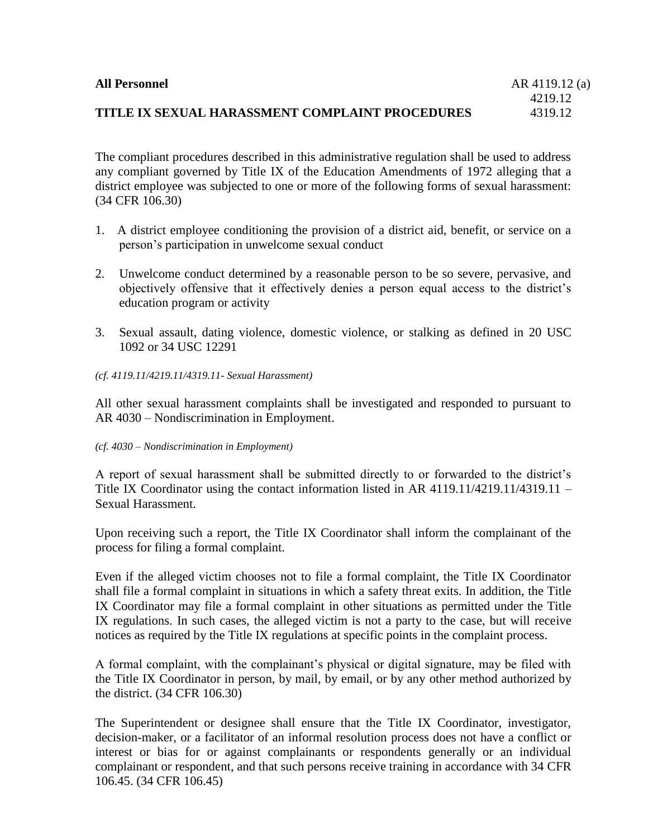| <b>All Personnel</b>                            | AR 4119.12 (a) |
|-------------------------------------------------|----------------|
|                                                 | 4219.12        |
| TITLE IX SEXUAL HARASSMENT COMPLAINT PROCEDURES | 4319.12        |

The compliant procedures described in this administrative regulation shall be used to address any compliant governed by Title IX of the Education Amendments of 1972 alleging that a district employee was subjected to one or more of the following forms of sexual harassment: (34 CFR 106.30)

- 1. A district employee conditioning the provision of a district aid, benefit, or service on a person's participation in unwelcome sexual conduct
- 2. Unwelcome conduct determined by a reasonable person to be so severe, pervasive, and objectively offensive that it effectively denies a person equal access to the district's education program or activity
- 3. Sexual assault, dating violence, domestic violence, or stalking as defined in 20 USC 1092 or 34 USC 12291
- *(cf. 4119.11/4219.11/4319.11- Sexual Harassment)*

All other sexual harassment complaints shall be investigated and responded to pursuant to AR 4030 – Nondiscrimination in Employment.

#### *(cf. 4030 – Nondiscrimination in Employment)*

A report of sexual harassment shall be submitted directly to or forwarded to the district's Title IX Coordinator using the contact information listed in AR 4119.11/4219.11/4319.11 – Sexual Harassment.

Upon receiving such a report, the Title IX Coordinator shall inform the complainant of the process for filing a formal complaint.

Even if the alleged victim chooses not to file a formal complaint, the Title IX Coordinator shall file a formal complaint in situations in which a safety threat exits. In addition, the Title IX Coordinator may file a formal complaint in other situations as permitted under the Title IX regulations. In such cases, the alleged victim is not a party to the case, but will receive notices as required by the Title IX regulations at specific points in the complaint process.

A formal complaint, with the complainant's physical or digital signature, may be filed with the Title IX Coordinator in person, by mail, by email, or by any other method authorized by the district. (34 CFR 106.30)

The Superintendent or designee shall ensure that the Title IX Coordinator, investigator, decision-maker, or a facilitator of an informal resolution process does not have a conflict or interest or bias for or against complainants or respondents generally or an individual complainant or respondent, and that such persons receive training in accordance with 34 CFR 106.45. (34 CFR 106.45)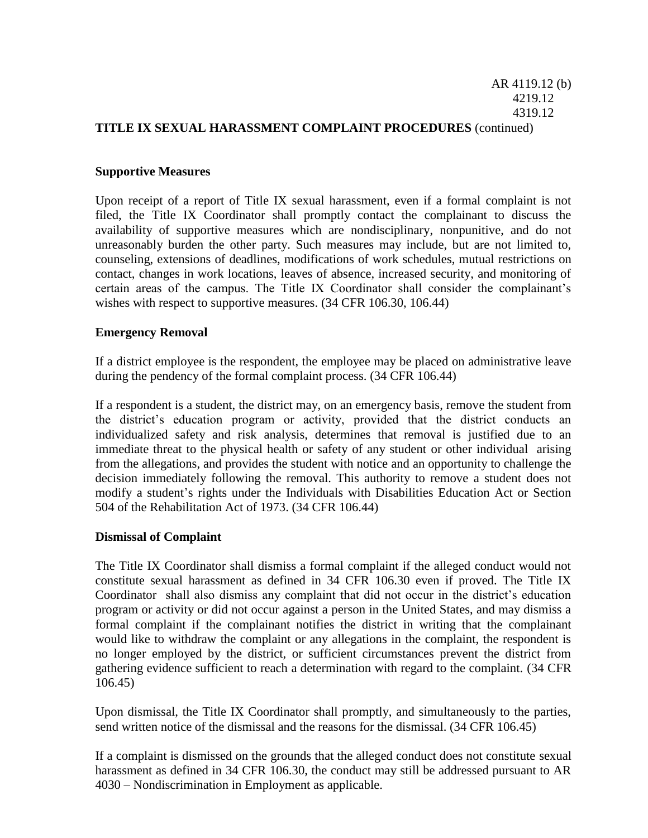### AR 4119.12 (b) 4219.12 4319.12 **TITLE IX SEXUAL HARASSMENT COMPLAINT PROCEDURES** (continued)

### **Supportive Measures**

Upon receipt of a report of Title IX sexual harassment, even if a formal complaint is not filed, the Title IX Coordinator shall promptly contact the complainant to discuss the availability of supportive measures which are nondisciplinary, nonpunitive, and do not unreasonably burden the other party. Such measures may include, but are not limited to, counseling, extensions of deadlines, modifications of work schedules, mutual restrictions on contact, changes in work locations, leaves of absence, increased security, and monitoring of certain areas of the campus. The Title IX Coordinator shall consider the complainant's wishes with respect to supportive measures. (34 CFR 106.30, 106.44)

#### **Emergency Removal**

If a district employee is the respondent, the employee may be placed on administrative leave during the pendency of the formal complaint process. (34 CFR 106.44)

If a respondent is a student, the district may, on an emergency basis, remove the student from the district's education program or activity, provided that the district conducts an individualized safety and risk analysis, determines that removal is justified due to an immediate threat to the physical health or safety of any student or other individual arising from the allegations, and provides the student with notice and an opportunity to challenge the decision immediately following the removal. This authority to remove a student does not modify a student's rights under the Individuals with Disabilities Education Act or Section 504 of the Rehabilitation Act of 1973. (34 CFR 106.44)

### **Dismissal of Complaint**

The Title IX Coordinator shall dismiss a formal complaint if the alleged conduct would not constitute sexual harassment as defined in 34 CFR 106.30 even if proved. The Title IX Coordinator shall also dismiss any complaint that did not occur in the district's education program or activity or did not occur against a person in the United States, and may dismiss a formal complaint if the complainant notifies the district in writing that the complainant would like to withdraw the complaint or any allegations in the complaint, the respondent is no longer employed by the district, or sufficient circumstances prevent the district from gathering evidence sufficient to reach a determination with regard to the complaint. (34 CFR 106.45)

Upon dismissal, the Title IX Coordinator shall promptly, and simultaneously to the parties, send written notice of the dismissal and the reasons for the dismissal. (34 CFR 106.45)

If a complaint is dismissed on the grounds that the alleged conduct does not constitute sexual harassment as defined in 34 CFR 106.30, the conduct may still be addressed pursuant to AR 4030 – Nondiscrimination in Employment as applicable.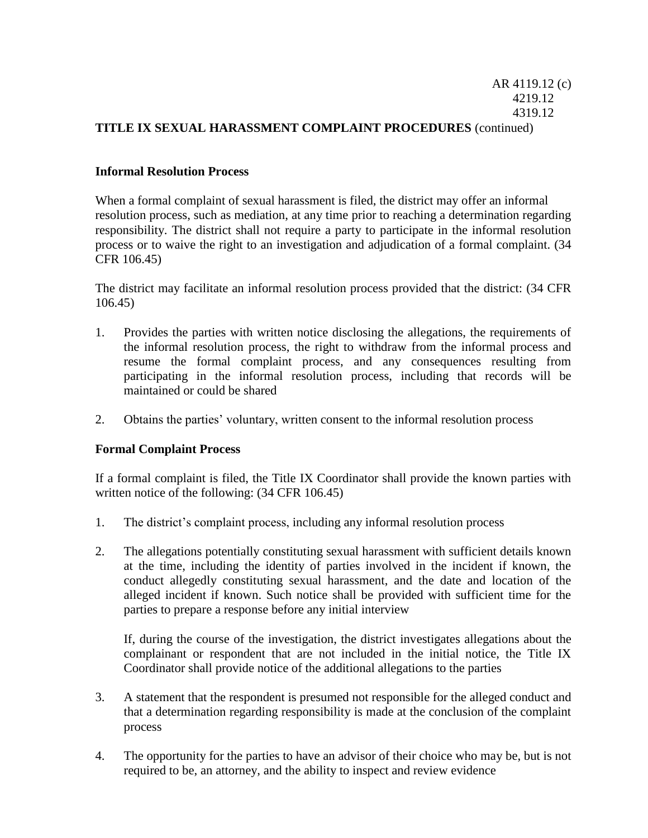### AR 4119.12 (c) 4219.12 4319.12 **TITLE IX SEXUAL HARASSMENT COMPLAINT PROCEDURES** (continued)

## **Informal Resolution Process**

When a formal complaint of sexual harassment is filed, the district may offer an informal resolution process, such as mediation, at any time prior to reaching a determination regarding responsibility. The district shall not require a party to participate in the informal resolution process or to waive the right to an investigation and adjudication of a formal complaint. (34 CFR 106.45)

The district may facilitate an informal resolution process provided that the district: (34 CFR 106.45)

- 1. Provides the parties with written notice disclosing the allegations, the requirements of the informal resolution process, the right to withdraw from the informal process and resume the formal complaint process, and any consequences resulting from participating in the informal resolution process, including that records will be maintained or could be shared
- 2. Obtains the parties' voluntary, written consent to the informal resolution process

### **Formal Complaint Process**

If a formal complaint is filed, the Title IX Coordinator shall provide the known parties with written notice of the following: (34 CFR 106.45)

- 1. The district's complaint process, including any informal resolution process
- 2. The allegations potentially constituting sexual harassment with sufficient details known at the time, including the identity of parties involved in the incident if known, the conduct allegedly constituting sexual harassment, and the date and location of the alleged incident if known. Such notice shall be provided with sufficient time for the parties to prepare a response before any initial interview

If, during the course of the investigation, the district investigates allegations about the complainant or respondent that are not included in the initial notice, the Title IX Coordinator shall provide notice of the additional allegations to the parties

- 3. A statement that the respondent is presumed not responsible for the alleged conduct and that a determination regarding responsibility is made at the conclusion of the complaint process
- 4. The opportunity for the parties to have an advisor of their choice who may be, but is not required to be, an attorney, and the ability to inspect and review evidence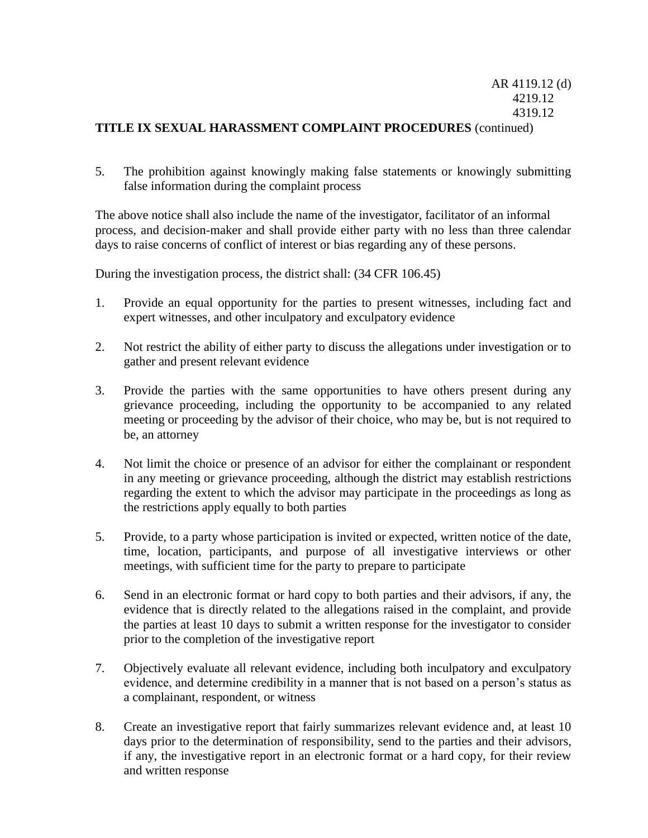# AR 4119.12 (d) 4219.12 4319.12

## **TITLE IX SEXUAL HARASSMENT COMPLAINT PROCEDURES** (continued)

5. The prohibition against knowingly making false statements or knowingly submitting false information during the complaint process

The above notice shall also include the name of the investigator, facilitator of an informal process, and decision-maker and shall provide either party with no less than three calendar days to raise concerns of conflict of interest or bias regarding any of these persons.

During the investigation process, the district shall: (34 CFR 106.45)

- 1. Provide an equal opportunity for the parties to present witnesses, including fact and expert witnesses, and other inculpatory and exculpatory evidence
- 2. Not restrict the ability of either party to discuss the allegations under investigation or to gather and present relevant evidence
- 3. Provide the parties with the same opportunities to have others present during any grievance proceeding, including the opportunity to be accompanied to any related meeting or proceeding by the advisor of their choice, who may be, but is not required to be, an attorney
- 4. Not limit the choice or presence of an advisor for either the complainant or respondent in any meeting or grievance proceeding, although the district may establish restrictions regarding the extent to which the advisor may participate in the proceedings as long as the restrictions apply equally to both parties
- 5. Provide, to a party whose participation is invited or expected, written notice of the date, time, location, participants, and purpose of all investigative interviews or other meetings, with sufficient time for the party to prepare to participate
- 6. Send in an electronic format or hard copy to both parties and their advisors, if any, the evidence that is directly related to the allegations raised in the complaint, and provide the parties at least 10 days to submit a written response for the investigator to consider prior to the completion of the investigative report
- 7. Objectively evaluate all relevant evidence, including both inculpatory and exculpatory evidence, and determine credibility in a manner that is not based on a person's status as a complainant, respondent, or witness
- 8. Create an investigative report that fairly summarizes relevant evidence and, at least 10 days prior to the determination of responsibility, send to the parties and their advisors, if any, the investigative report in an electronic format or a hard copy, for their review and written response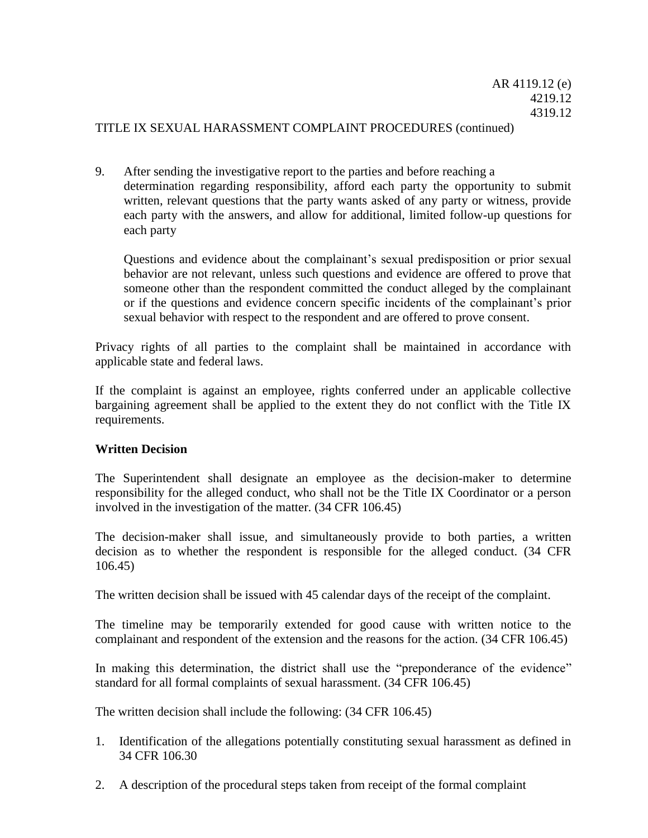### TITLE IX SEXUAL HARASSMENT COMPLAINT PROCEDURES (continued)

9. After sending the investigative report to the parties and before reaching a determination regarding responsibility, afford each party the opportunity to submit written, relevant questions that the party wants asked of any party or witness, provide each party with the answers, and allow for additional, limited follow-up questions for each party

Questions and evidence about the complainant's sexual predisposition or prior sexual behavior are not relevant, unless such questions and evidence are offered to prove that someone other than the respondent committed the conduct alleged by the complainant or if the questions and evidence concern specific incidents of the complainant's prior sexual behavior with respect to the respondent and are offered to prove consent.

Privacy rights of all parties to the complaint shall be maintained in accordance with applicable state and federal laws.

If the complaint is against an employee, rights conferred under an applicable collective bargaining agreement shall be applied to the extent they do not conflict with the Title IX requirements.

### **Written Decision**

The Superintendent shall designate an employee as the decision-maker to determine responsibility for the alleged conduct, who shall not be the Title IX Coordinator or a person involved in the investigation of the matter. (34 CFR 106.45)

The decision-maker shall issue, and simultaneously provide to both parties, a written decision as to whether the respondent is responsible for the alleged conduct. (34 CFR 106.45)

The written decision shall be issued with 45 calendar days of the receipt of the complaint.

The timeline may be temporarily extended for good cause with written notice to the complainant and respondent of the extension and the reasons for the action. (34 CFR 106.45)

In making this determination, the district shall use the "preponderance of the evidence" standard for all formal complaints of sexual harassment. (34 CFR 106.45)

The written decision shall include the following: (34 CFR 106.45)

- 1. Identification of the allegations potentially constituting sexual harassment as defined in 34 CFR 106.30
- 2. A description of the procedural steps taken from receipt of the formal complaint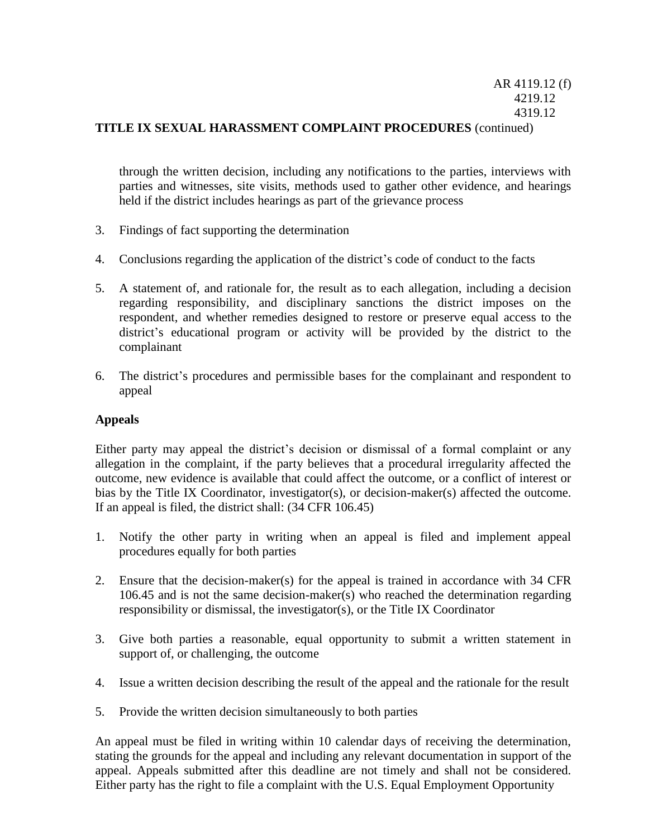## **TITLE IX SEXUAL HARASSMENT COMPLAINT PROCEDURES** (continued)

through the written decision, including any notifications to the parties, interviews with parties and witnesses, site visits, methods used to gather other evidence, and hearings held if the district includes hearings as part of the grievance process

- 3. Findings of fact supporting the determination
- 4. Conclusions regarding the application of the district's code of conduct to the facts
- 5. A statement of, and rationale for, the result as to each allegation, including a decision regarding responsibility, and disciplinary sanctions the district imposes on the respondent, and whether remedies designed to restore or preserve equal access to the district's educational program or activity will be provided by the district to the complainant
- 6. The district's procedures and permissible bases for the complainant and respondent to appeal

### **Appeals**

Either party may appeal the district's decision or dismissal of a formal complaint or any allegation in the complaint, if the party believes that a procedural irregularity affected the outcome, new evidence is available that could affect the outcome, or a conflict of interest or bias by the Title IX Coordinator, investigator(s), or decision-maker(s) affected the outcome. If an appeal is filed, the district shall: (34 CFR 106.45)

- 1. Notify the other party in writing when an appeal is filed and implement appeal procedures equally for both parties
- 2. Ensure that the decision-maker(s) for the appeal is trained in accordance with 34 CFR 106.45 and is not the same decision-maker(s) who reached the determination regarding responsibility or dismissal, the investigator(s), or the Title IX Coordinator
- 3. Give both parties a reasonable, equal opportunity to submit a written statement in support of, or challenging, the outcome
- 4. Issue a written decision describing the result of the appeal and the rationale for the result
- 5. Provide the written decision simultaneously to both parties

An appeal must be filed in writing within 10 calendar days of receiving the determination, stating the grounds for the appeal and including any relevant documentation in support of the appeal. Appeals submitted after this deadline are not timely and shall not be considered. Either party has the right to file a complaint with the U.S. Equal Employment Opportunity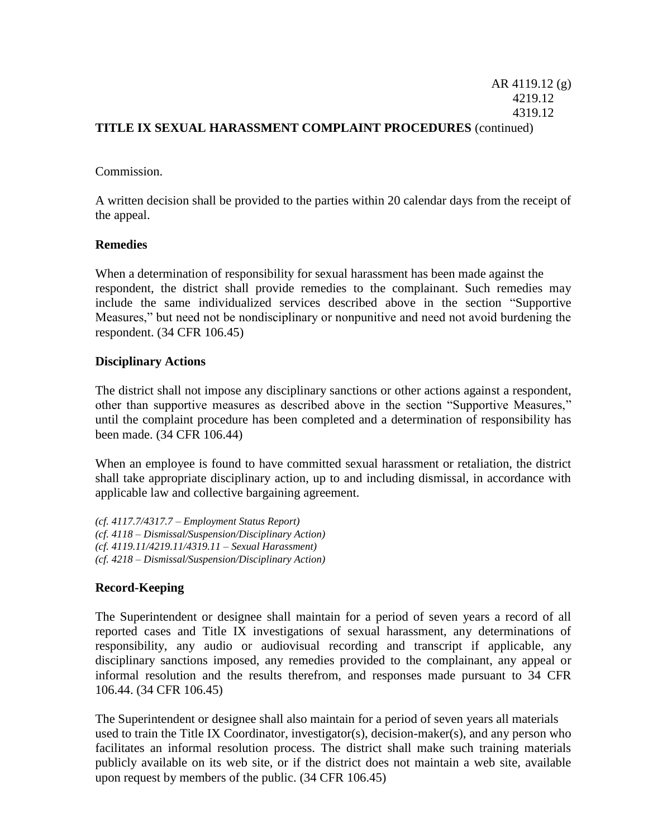# AR 4119.12 (g) 4219.12 4319.12 **TITLE IX SEXUAL HARASSMENT COMPLAINT PROCEDURES** (continued)

### Commission.

A written decision shall be provided to the parties within 20 calendar days from the receipt of the appeal.

## **Remedies**

When a determination of responsibility for sexual harassment has been made against the respondent, the district shall provide remedies to the complainant. Such remedies may include the same individualized services described above in the section "Supportive Measures," but need not be nondisciplinary or nonpunitive and need not avoid burdening the respondent. (34 CFR 106.45)

## **Disciplinary Actions**

The district shall not impose any disciplinary sanctions or other actions against a respondent, other than supportive measures as described above in the section "Supportive Measures," until the complaint procedure has been completed and a determination of responsibility has been made. (34 CFR 106.44)

When an employee is found to have committed sexual harassment or retaliation, the district shall take appropriate disciplinary action, up to and including dismissal, in accordance with applicable law and collective bargaining agreement.

*(cf. 4117.7/4317.7 – Employment Status Report) (cf. 4118 – Dismissal/Suspension/Disciplinary Action) (cf. 4119.11/4219.11/4319.11 – Sexual Harassment) (cf. 4218 – Dismissal/Suspension/Disciplinary Action)* 

# **Record-Keeping**

The Superintendent or designee shall maintain for a period of seven years a record of all reported cases and Title IX investigations of sexual harassment, any determinations of responsibility, any audio or audiovisual recording and transcript if applicable, any disciplinary sanctions imposed, any remedies provided to the complainant, any appeal or informal resolution and the results therefrom, and responses made pursuant to 34 CFR 106.44. (34 CFR 106.45)

The Superintendent or designee shall also maintain for a period of seven years all materials used to train the Title IX Coordinator, investigator(s), decision-maker(s), and any person who facilitates an informal resolution process. The district shall make such training materials publicly available on its web site, or if the district does not maintain a web site, available upon request by members of the public. (34 CFR 106.45)